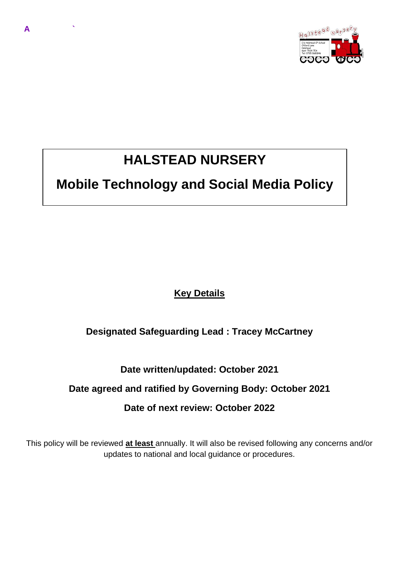

# **HALSTEAD NURSERY**

**A `**

# **Mobile Technology and Social Media Policy**

**Key Details** 

# **Designated Safeguarding Lead : Tracey McCartney**

## **Date written/updated: October 2021**

#### **Date agreed and ratified by Governing Body: October 2021**

#### **Date of next review: October 2022**

This policy will be reviewed **at least** annually. It will also be revised following any concerns and/or updates to national and local guidance or procedures.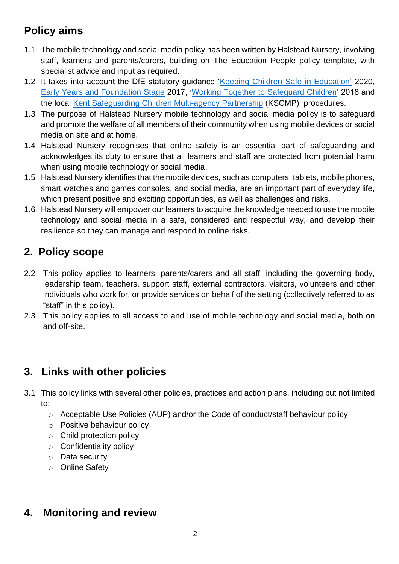# **Policy aims**

- 1.1 The mobile technology and social media policy has been written by Halstead Nursery, involving staff, learners and parents/carers, building on The Education People policy template, with specialist advice and input as required.
- 1.2 It takes into account the DfE statutory guidance ['Keeping Children Safe in Education'](https://www.gov.uk/government/publications/keeping-children-safe-in-education--2) 2020, [Early Years and Foundation Stage](https://www.gov.uk/government/publications/early-years-foundation-stage-framework--2) 2017, '[Working Together to Safeguard Children'](https://www.gov.uk/government/publications/working-together-to-safeguard-children--2) 2018 and the local [Kent Safeguarding Children Multi-agency Partnership](https://www.kscb.org.uk/) (KSCMP) procedures.
- 1.3 The purpose of Halstead Nursery mobile technology and social media policy is to safeguard and promote the welfare of all members of their community when using mobile devices or social media on site and at home.
- 1.4 Halstead Nursery recognises that online safety is an essential part of safeguarding and acknowledges its duty to ensure that all learners and staff are protected from potential harm when using mobile technology or social media.
- 1.5 Halstead Nursery identifies that the mobile devices, such as computers, tablets, mobile phones, smart watches and games consoles, and social media, are an important part of everyday life, which present positive and exciting opportunities, as well as challenges and risks.
- 1.6 Halstead Nursery will empower our learners to acquire the knowledge needed to use the mobile technology and social media in a safe, considered and respectful way, and develop their resilience so they can manage and respond to online risks.

# **2. Policy scope**

- 2.2 This policy applies to learners, parents/carers and all staff, including the governing body, leadership team, teachers, support staff, external contractors, visitors, volunteers and other individuals who work for, or provide services on behalf of the setting (collectively referred to as "staff" in this policy).
- 2.3 This policy applies to all access to and use of mobile technology and social media, both on and off-site.

# **3. Links with other policies**

- 3.1 This policy links with several other policies, practices and action plans, including but not limited to:
	- o Acceptable Use Policies (AUP) and/or the Code of conduct/staff behaviour policy
	- o Positive behaviour policy
	- o Child protection policy
	- $\circ$  Confidentiality policy
	- o Data security
	- o Online Safety

# **4. Monitoring and review**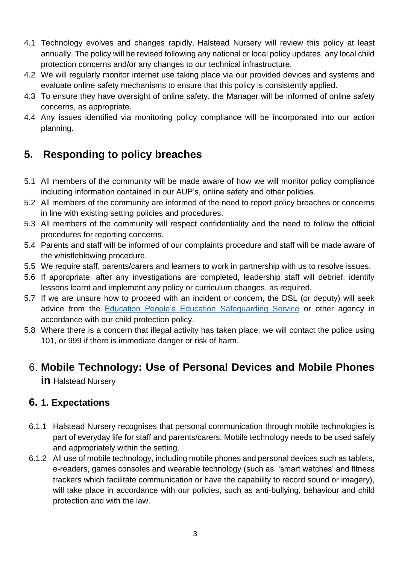- 4.1 Technology evolves and changes rapidly. Halstead Nursery will review this policy at least annually. The policy will be revised following any national or local policy updates, any local child protection concerns and/or any changes to our technical infrastructure.
- 4.2 We will regularly monitor internet use taking place via our provided devices and systems and evaluate online safety mechanisms to ensure that this policy is consistently applied.
- 4.3 To ensure they have oversight of online safety, the Manager will be informed of online safety concerns, as appropriate.
- 4.4 Any issues identified via monitoring policy compliance will be incorporated into our action planning.

# **5. Responding to policy breaches**

- 5.1 All members of the community will be made aware of how we will monitor policy compliance including information contained in our AUP's, online safety and other policies.
- 5.2 All members of the community are informed of the need to report policy breaches or concerns in line with existing setting policies and procedures.
- 5.3 All members of the community will respect confidentiality and the need to follow the official procedures for reporting concerns.
- 5.4 Parents and staff will be informed of our complaints procedure and staff will be made aware of the whistleblowing procedure.
- 5.5 We require staff, parents/carers and learners to work in partnership with us to resolve issues.
- 5.6 If appropriate, after any investigations are completed, leadership staff will debrief, identify lessons learnt and implement any policy or curriculum changes, as required.
- 5.7 If we are unsure how to proceed with an incident or concern, the DSL (or deputy) will seek advice from the [Education People's Education](http://www.theeducationpeople.org/products/safeguarding/education-safeguarding-team-contacts) Safeguarding Service or other agency in accordance with our child protection policy.
- 5.8 Where there is a concern that illegal activity has taken place, we will contact the police using 101, or 999 if there is immediate danger or risk of harm.

# 6. **Mobile Technology: Use of Personal Devices and Mobile Phones**

**in** Halstead Nursery

#### **6. 1. Expectations**

- 6.1.1 Halstead Nursery recognises that personal communication through mobile technologies is part of everyday life for staff and parents/carers. Mobile technology needs to be used safely and appropriately within the setting.
- 6.1.2 All use of mobile technology, including mobile phones and personal devices such as tablets, e-readers, games consoles and wearable technology (such as 'smart watches' and fitness trackers which facilitate communication or have the capability to record sound or imagery), will take place in accordance with our policies, such as anti-bullying, behaviour and child protection and with the law.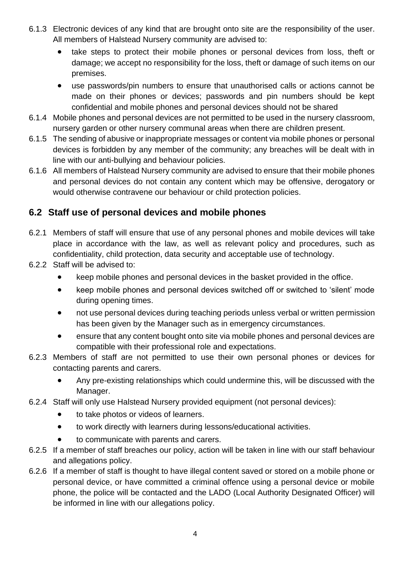- 6.1.3 Electronic devices of any kind that are brought onto site are the responsibility of the user. All members of Halstead Nursery community are advised to:
	- take steps to protect their mobile phones or personal devices from loss, theft or damage; we accept no responsibility for the loss, theft or damage of such items on our premises.
	- use passwords/pin numbers to ensure that unauthorised calls or actions cannot be made on their phones or devices; passwords and pin numbers should be kept confidential and mobile phones and personal devices should not be shared
- 6.1.4 Mobile phones and personal devices are not permitted to be used in the nursery classroom, nursery garden or other nursery communal areas when there are children present.
- 6.1.5 The sending of abusive or inappropriate messages or content via mobile phones or personal devices is forbidden by any member of the community; any breaches will be dealt with in line with our anti-bullying and behaviour policies.
- 6.1.6 All members of Halstead Nursery community are advised to ensure that their mobile phones and personal devices do not contain any content which may be offensive, derogatory or would otherwise contravene our behaviour or child protection policies.

#### **6.2 Staff use of personal devices and mobile phones**

- 6.2.1 Members of staff will ensure that use of any personal phones and mobile devices will take place in accordance with the law, as well as relevant policy and procedures, such as confidentiality, child protection, data security and acceptable use of technology.
- 6.2.2 Staff will be advised to:
	- keep mobile phones and personal devices in the basket provided in the office.
	- keep mobile phones and personal devices switched off or switched to 'silent' mode during opening times.
	- not use personal devices during teaching periods unless verbal or written permission has been given by the Manager such as in emergency circumstances.
	- ensure that any content bought onto site via mobile phones and personal devices are compatible with their professional role and expectations.
- 6.2.3 Members of staff are not permitted to use their own personal phones or devices for contacting parents and carers.
	- Any pre-existing relationships which could undermine this, will be discussed with the Manager.
- 6.2.4 Staff will only use Halstead Nursery provided equipment (not personal devices):
	- to take photos or videos of learners.
	- to work directly with learners during lessons/educational activities.
	- to communicate with parents and carers.
- 6.2.5 If a member of staff breaches our policy, action will be taken in line with our staff behaviour and allegations policy.
- 6.2.6 If a member of staff is thought to have illegal content saved or stored on a mobile phone or personal device, or have committed a criminal offence using a personal device or mobile phone, the police will be contacted and the LADO (Local Authority Designated Officer) will be informed in line with our allegations policy.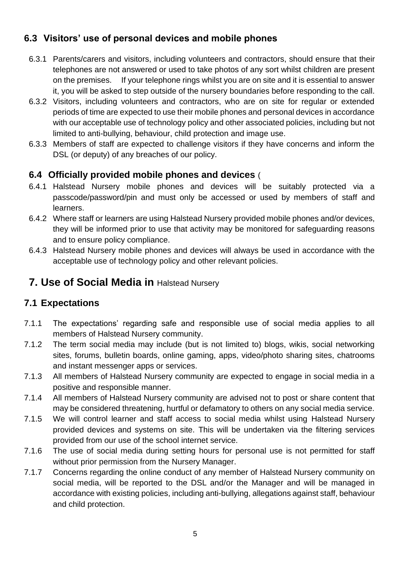## **6.3 Visitors' use of personal devices and mobile phones**

- 6.3.1 Parents/carers and visitors, including volunteers and contractors, should ensure that their telephones are not answered or used to take photos of any sort whilst children are present on the premises. If your telephone rings whilst you are on site and it is essential to answer it, you will be asked to step outside of the nursery boundaries before responding to the call.
- 6.3.2 Visitors, including volunteers and contractors, who are on site for regular or extended periods of time are expected to use their mobile phones and personal devices in accordance with our acceptable use of technology policy and other associated policies, including but not limited to anti-bullying, behaviour, child protection and image use.
- 6.3.3 Members of staff are expected to challenge visitors if they have concerns and inform the DSL (or deputy) of any breaches of our policy.

#### **6.4 Officially provided mobile phones and devices** (

- 6.4.1 Halstead Nursery mobile phones and devices will be suitably protected via a passcode/password/pin and must only be accessed or used by members of staff and learners.
- 6.4.2 Where staff or learners are using Halstead Nursery provided mobile phones and/or devices, they will be informed prior to use that activity may be monitored for safeguarding reasons and to ensure policy compliance.
- 6.4.3 Halstead Nursery mobile phones and devices will always be used in accordance with the acceptable use of technology policy and other relevant policies.

### **7. Use of Social Media in** Halstead Nursery

#### **7.1 Expectations**

- 7.1.1 The expectations' regarding safe and responsible use of social media applies to all members of Halstead Nursery community.
- 7.1.2 The term social media may include (but is not limited to) blogs, wikis, social networking sites, forums, bulletin boards, online gaming, apps, video/photo sharing sites, chatrooms and instant messenger apps or services.
- 7.1.3 All members of Halstead Nursery community are expected to engage in social media in a positive and responsible manner.
- 7.1.4 All members of Halstead Nursery community are advised not to post or share content that may be considered threatening, hurtful or defamatory to others on any social media service.
- 7.1.5 We will control learner and staff access to social media whilst using Halstead Nursery provided devices and systems on site. This will be undertaken via the filtering services provided from our use of the school internet service.
- 7.1.6 The use of social media during setting hours for personal use is not permitted for staff without prior permission from the Nursery Manager.
- 7.1.7 Concerns regarding the online conduct of any member of Halstead Nursery community on social media, will be reported to the DSL and/or the Manager and will be managed in accordance with existing policies, including anti-bullying, allegations against staff, behaviour and child protection.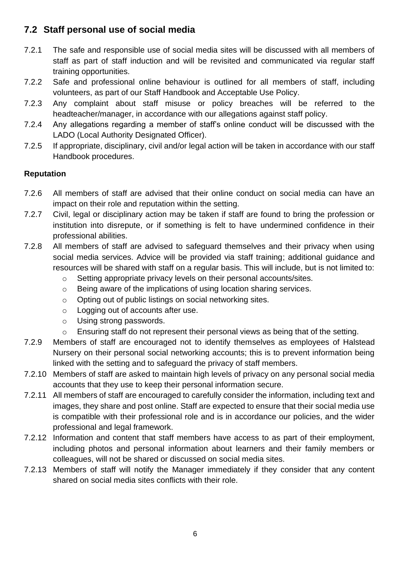#### **7.2 Staff personal use of social media**

- 7.2.1 The safe and responsible use of social media sites will be discussed with all members of staff as part of staff induction and will be revisited and communicated via regular staff training opportunities.
- 7.2.2 Safe and professional online behaviour is outlined for all members of staff, including volunteers, as part of our Staff Handbook and Acceptable Use Policy.
- 7.2.3 Any complaint about staff misuse or policy breaches will be referred to the headteacher/manager, in accordance with our allegations against staff policy.
- 7.2.4 Any allegations regarding a member of staff's online conduct will be discussed with the LADO (Local Authority Designated Officer).
- 7.2.5 If appropriate, disciplinary, civil and/or legal action will be taken in accordance with our staff Handbook procedures.

#### **Reputation**

- 7.2.6 All members of staff are advised that their online conduct on social media can have an impact on their role and reputation within the setting.
- 7.2.7 Civil, legal or disciplinary action may be taken if staff are found to bring the profession or institution into disrepute, or if something is felt to have undermined confidence in their professional abilities.
- 7.2.8 All members of staff are advised to safeguard themselves and their privacy when using social media services. Advice will be provided via staff training; additional guidance and resources will be shared with staff on a regular basis. This will include, but is not limited to:
	- o Setting appropriate privacy levels on their personal accounts/sites.
	- o Being aware of the implications of using location sharing services.
	- o Opting out of public listings on social networking sites.
	- o Logging out of accounts after use.
	- o Using strong passwords.
	- o Ensuring staff do not represent their personal views as being that of the setting.
- 7.2.9 Members of staff are encouraged not to identify themselves as employees of Halstead Nursery on their personal social networking accounts; this is to prevent information being linked with the setting and to safeguard the privacy of staff members.
- 7.2.10 Members of staff are asked to maintain high levels of privacy on any personal social media accounts that they use to keep their personal information secure.
- 7.2.11 All members of staff are encouraged to carefully consider the information, including text and images, they share and post online. Staff are expected to ensure that their social media use is compatible with their professional role and is in accordance our policies, and the wider professional and legal framework.
- 7.2.12 Information and content that staff members have access to as part of their employment, including photos and personal information about learners and their family members or colleagues, will not be shared or discussed on social media sites.
- 7.2.13 Members of staff will notify the Manager immediately if they consider that any content shared on social media sites conflicts with their role.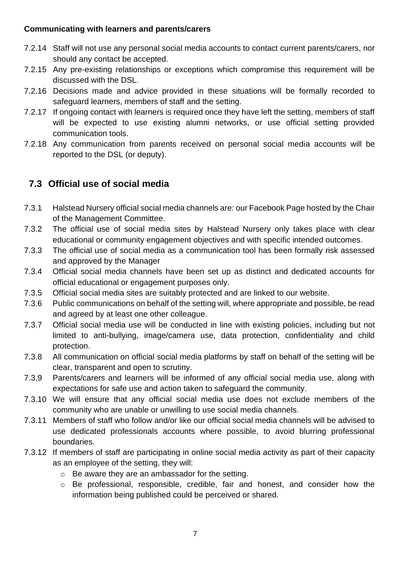#### **Communicating with learners and parents/carers**

- 7.2.14 Staff will not use any personal social media accounts to contact current parents/carers, nor should any contact be accepted.
- 7.2.15 Any pre-existing relationships or exceptions which compromise this requirement will be discussed with the DSL.
- 7.2.16 Decisions made and advice provided in these situations will be formally recorded to safeguard learners, members of staff and the setting.
- 7.2.17 If ongoing contact with learners is required once they have left the setting, members of staff will be expected to use existing alumni networks, or use official setting provided communication tools.
- 7.2.18 Any communication from parents received on personal social media accounts will be reported to the DSL (or deputy).

## **7.3 Official use of social media**

- 7.3.1 Halstead Nursery official social media channels are: our Facebook Page hosted by the Chair of the Management Committee.
- 7.3.2 The official use of social media sites by Halstead Nursery only takes place with clear educational or community engagement objectives and with specific intended outcomes.
- 7.3.3 The official use of social media as a communication tool has been formally risk assessed and approved by the Manager
- 7.3.4 Official social media channels have been set up as distinct and dedicated accounts for official educational or engagement purposes only.
- 7.3.5 Official social media sites are suitably protected and are linked to our website.
- 7.3.6 Public communications on behalf of the setting will, where appropriate and possible, be read and agreed by at least one other colleague.
- 7.3.7 Official social media use will be conducted in line with existing policies, including but not limited to anti-bullying, image/camera use, data protection, confidentiality and child protection.
- 7.3.8 All communication on official social media platforms by staff on behalf of the setting will be clear, transparent and open to scrutiny.
- 7.3.9 Parents/carers and learners will be informed of any official social media use, along with expectations for safe use and action taken to safeguard the community.
- 7.3.10 We will ensure that any official social media use does not exclude members of the community who are unable or unwilling to use social media channels.
- 7.3.11 Members of staff who follow and/or like our official social media channels will be advised to use dedicated professionals accounts where possible, to avoid blurring professional boundaries.
- 7.3.12 If members of staff are participating in online social media activity as part of their capacity as an employee of the setting, they will:
	- o Be aware they are an ambassador for the setting.
	- o Be professional, responsible, credible, fair and honest, and consider how the information being published could be perceived or shared.